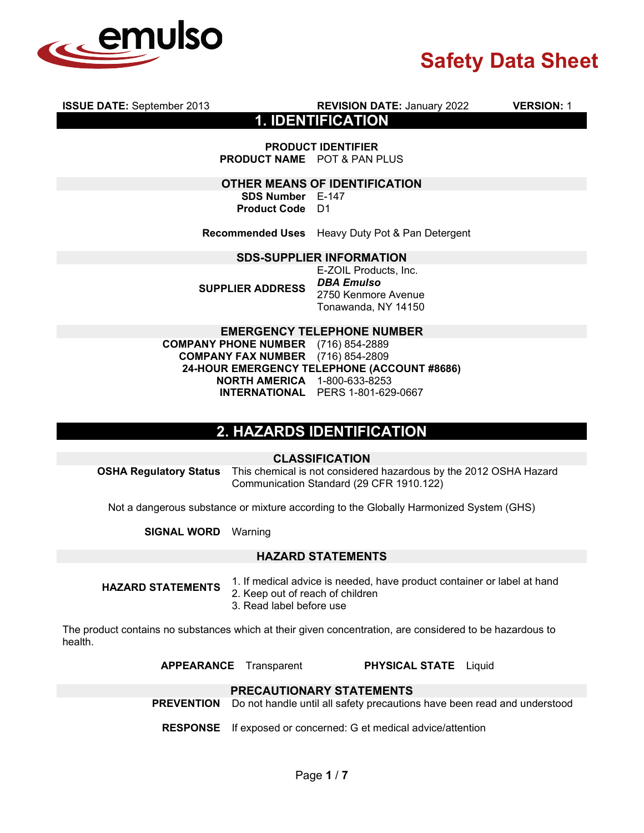

|                                                                                        | <b>1. IDENTIFICATION</b>                                                                 |  |  |  |
|----------------------------------------------------------------------------------------|------------------------------------------------------------------------------------------|--|--|--|
|                                                                                        | <b>PRODUCT IDENTIFIER</b><br><b>PRODUCT NAME</b> POT & PAN PLUS                          |  |  |  |
| OTHER MEANS OF IDENTIFICATION                                                          |                                                                                          |  |  |  |
| <b>SDS Number</b> E-147                                                                |                                                                                          |  |  |  |
| <b>Product Code</b> D1                                                                 |                                                                                          |  |  |  |
|                                                                                        | <b>Recommended Uses</b> Heavy Duty Pot & Pan Detergent                                   |  |  |  |
|                                                                                        | <b>SDS-SUPPLIER INFORMATION</b>                                                          |  |  |  |
| <b>SUPPLIER ADDRESS</b>                                                                | E-ZOIL Products, Inc.<br><b>DBA Emulso</b><br>2750 Kenmore Avenue<br>Tonawanda, NY 14150 |  |  |  |
|                                                                                        | <b>EMERGENCY TELEPHONE NUMBER</b>                                                        |  |  |  |
| <b>COMPANY PHONE NUMBER</b> (716) 854-2889<br><b>COMPANY FAX NUMBER</b> (716) 854-2809 | 24-HOUR EMERGENCY TELEPHONE (ACCOUNT #8686)                                              |  |  |  |

**ISSUE DATE:** September 2013 **REVISION DATE:** January 2022 **VERSION:** 1

**NORTH AMERICA** 1-800-633-8253 **INTERNATIONAL** PERS 1-801-629-0667

# **2. HAZARDS IDENTIFICATION**

## **CLASSIFICATION**

**OSHA Regulatory Status** This chemical is not considered hazardous by the 2012 OSHA Hazard Communication Standard (29 CFR 1910.122)

Not a dangerous substance or mixture according to the Globally Harmonized System (GHS)

**SIGNAL WORD** Warning

## **HAZARD STATEMENTS**

- **HAZARD STATEMENTS** 1. If medical advice is needed, have product container or label at hand
	- 2. Keep out of reach of children
	- 3. Read label before use

The product contains no substances which at their given concentration, are considered to be hazardous to health.

**APPEARANCE** Transparent **PHYSICAL STATE** Liquid

## **PRECAUTIONARY STATEMENTS**

**PREVENTION** Do not handle until all safety precautions have been read and understood

**RESPONSE** If exposed or concerned: G et medical advice/attention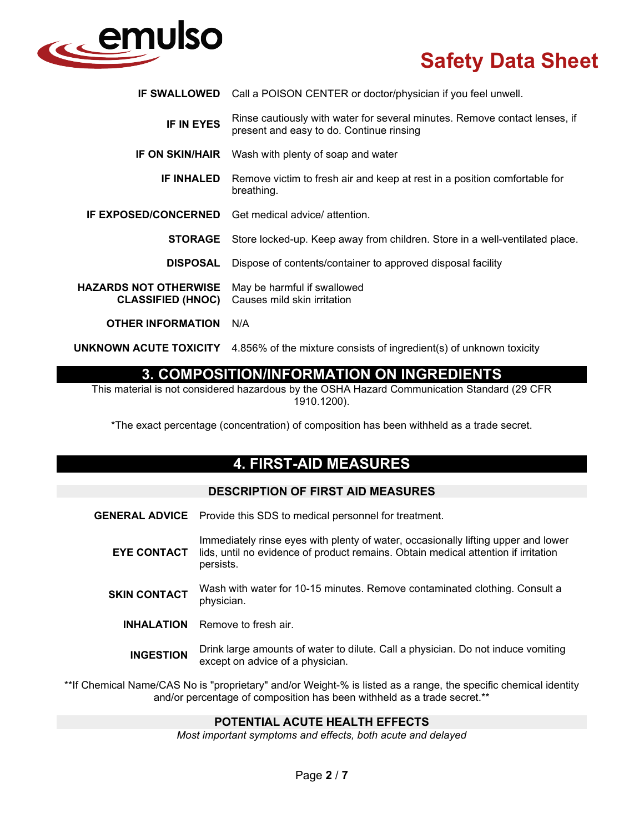

|                                                   | <b>IF SWALLOWED</b> Call a POISON CENTER or doctor/physician if you feel unwell.                                       |  |
|---------------------------------------------------|------------------------------------------------------------------------------------------------------------------------|--|
| <b>IF IN EYES</b>                                 | Rinse cautiously with water for several minutes. Remove contact lenses, if<br>present and easy to do. Continue rinsing |  |
|                                                   | <b>IF ON SKIN/HAIR</b> Wash with plenty of soap and water                                                              |  |
| <b>IF INHALED</b>                                 | Remove victim to fresh air and keep at rest in a position comfortable for<br>breathing.                                |  |
|                                                   | <b>IF EXPOSED/CONCERNED</b> Get medical advice/ attention.                                                             |  |
| <b>STORAGE</b>                                    | Store locked-up. Keep away from children. Store in a well-ventilated place.                                            |  |
| <b>DISPOSAL</b>                                   | Dispose of contents/container to approved disposal facility                                                            |  |
| HAZARDS NOT OTHERWISE<br><b>CLASSIFIED (HNOC)</b> | May be harmful if swallowed<br>Causes mild skin irritation                                                             |  |
| <b>OTHER INFORMATION</b>                          | N/A                                                                                                                    |  |
|                                                   |                                                                                                                        |  |

**UNKNOWN ACUTE TOXICITY** 4.856% of the mixture consists of ingredient(s) of unknown toxicity

## **3. COMPOSITION/INFORMATION ON INGREDIENTS**

This material is not considered hazardous by the OSHA Hazard Communication Standard (29 CFR 1910.1200).

\*The exact percentage (concentration) of composition has been withheld as a trade secret.

## **4. FIRST-AID MEASURES**

## **DESCRIPTION OF FIRST AID MEASURES**

- **GENERAL ADVICE** Provide this SDS to medical personnel for treatment.
	- **EYE CONTACT** Immediately rinse eyes with plenty of water, occasionally lifting upper and lower lids, until no evidence of product remains. Obtain medical attention if irritation persists.
	- **SKIN CONTACT** Wash with water for 10-15 minutes. Remove contaminated clothing. Consult a physician.
		- **INHALATION** Remove to fresh air.
			- **INGESTION** Drink large amounts of water to dilute. Call a physician. Do not induce vomiting except on advice of a physician.

\*\*If Chemical Name/CAS No is "proprietary" and/or Weight-% is listed as a range, the specific chemical identity and/or percentage of composition has been withheld as a trade secret.\*\*

## **POTENTIAL ACUTE HEALTH EFFECTS**

*Most important symptoms and effects, both acute and delayed*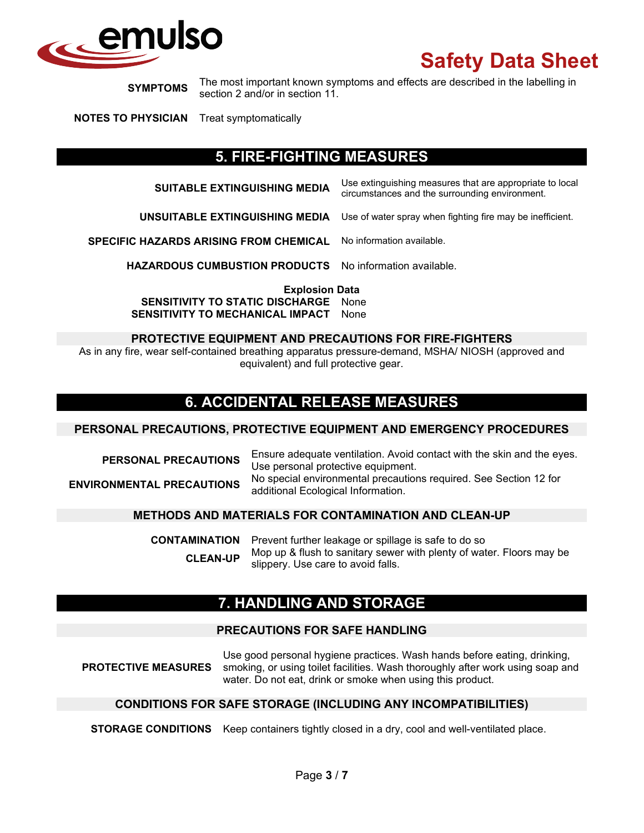

**SYMPTOMS** The most important known symptoms and effects are described in the labelling in section 2 and/or in section 11.

**NOTES TO PHYSICIAN** Treat symptomatically

## **5. FIRE-FIGHTING MEASURES**

| <b>SUITABLE EXTINGUISHING MEDIA</b>    | Use extinguishing measures that are appropriate to local<br>circumstances and the surrounding environment. |
|----------------------------------------|------------------------------------------------------------------------------------------------------------|
| UNSUITABLE EXTINGUISHING MEDIA         | Use of water spray when fighting fire may be inefficient.                                                  |
| SPECIFIC HAZARDS ARISING FROM CHEMICAL | No information available.                                                                                  |
|                                        |                                                                                                            |

**HAZARDOUS CUMBUSTION PRODUCTS** No information available.

**Explosion Data**

**SENSITIVITY TO STATIC DISCHARGE** None **SENSITIVITY TO MECHANICAL IMPACT** None

#### **PROTECTIVE EQUIPMENT AND PRECAUTIONS FOR FIRE-FIGHTERS**

As in any fire, wear self-contained breathing apparatus pressure-demand, MSHA/ NIOSH (approved and equivalent) and full protective gear.

# **6. ACCIDENTAL RELEASE MEASURES**

### **PERSONAL PRECAUTIONS, PROTECTIVE EQUIPMENT AND EMERGENCY PROCEDURES**

**PERSONAL PRECAUTIONS** Ensure adequate ventilation. Avoid contact with the skin and the eyes. Use personal protective equipment. **ENVIRONMENTAL PRECAUTIONS** No special environmental precautions required. See Section 12 for additional Ecological Information.

#### **METHODS AND MATERIALS FOR CONTAMINATION AND CLEAN-UP**

**CONTAMINATION** Prevent further leakage or spillage is safe to do so **CLEAN-UP** Mop up & flush to sanitary sewer with plenty of water. Floors may be slippery. Use care to avoid falls.

## **7. HANDLING AND STORAGE**

#### **PRECAUTIONS FOR SAFE HANDLING**

**PROTECTIVE MEASURES** Use good personal hygiene practices. Wash hands before eating, drinking, smoking, or using toilet facilities. Wash thoroughly after work using soap and water. Do not eat, drink or smoke when using this product.

#### **CONDITIONS FOR SAFE STORAGE (INCLUDING ANY INCOMPATIBILITIES)**

**STORAGE CONDITIONS** Keep containers tightly closed in a dry, cool and well-ventilated place.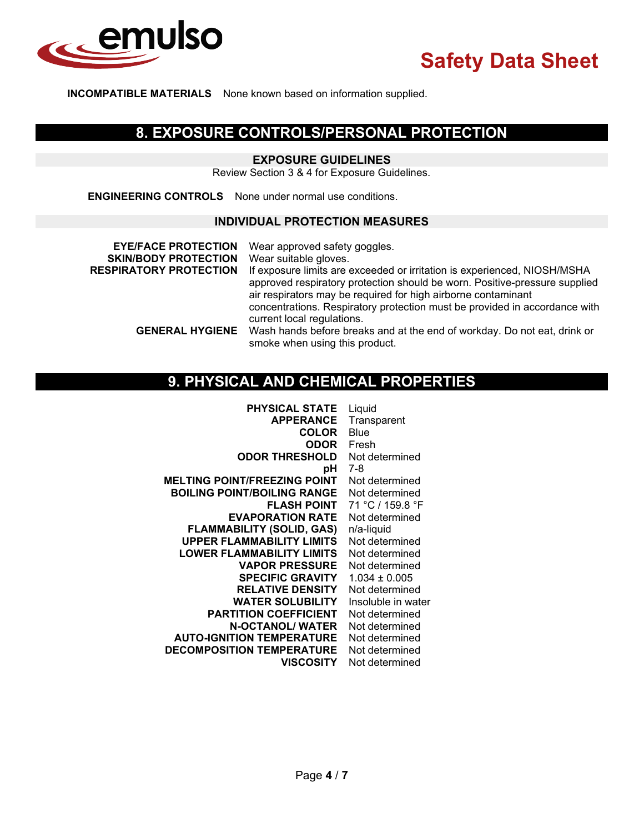

**INCOMPATIBLE MATERIALS** None known based on information supplied.

## **8. EXPOSURE CONTROLS/PERSONAL PROTECTION**

### **EXPOSURE GUIDELINES**

Review Section 3 & 4 for Exposure Guidelines.

**ENGINEERING CONTROLS** None under normal use conditions.

### **INDIVIDUAL PROTECTION MEASURES**

| <b>EYE/FACE PROTECTION</b><br><b>SKIN/BODY PROTECTION</b><br><b>RESPIRATORY PROTECTION</b> | Wear approved safety goggles.<br>Wear suitable gloves.<br>If exposure limits are exceeded or irritation is experienced, NIOSH/MSHA<br>approved respiratory protection should be worn. Positive-pressure supplied<br>air respirators may be required for high airborne contaminant<br>concentrations. Respiratory protection must be provided in accordance with<br>current local regulations. |
|--------------------------------------------------------------------------------------------|-----------------------------------------------------------------------------------------------------------------------------------------------------------------------------------------------------------------------------------------------------------------------------------------------------------------------------------------------------------------------------------------------|
| <b>GENERAL HYGIENE</b>                                                                     | Wash hands before breaks and at the end of workday. Do not eat, drink or<br>smoke when using this product.                                                                                                                                                                                                                                                                                    |

# **9. PHYSICAL AND CHEMICAL PROPERTIES**

| <b>PHYSICAL STATE</b>               | Liquid             |
|-------------------------------------|--------------------|
| <b>APPERANCE</b>                    | Transparent        |
| <b>COLOR</b>                        | Blue               |
| <b>ODOR</b>                         | Fresh              |
| <b>ODOR THRESHOLD</b>               | Not determined     |
| рH                                  | 7-8                |
| <b>MELTING POINT/FREEZING POINT</b> | Not determined     |
| <b>BOILING POINT/BOILING RANGE</b>  | Not determined     |
| <b>FLASH POINT</b>                  | 71 °C / 159.8 °F   |
| <b>EVAPORATION RATE</b>             | Not determined     |
| <b>FLAMMABILITY (SOLID, GAS)</b>    | n/a-liquid         |
| <b>UPPER FLAMMABILITY LIMITS</b>    | Not determined     |
| <b>LOWER FLAMMABILITY LIMITS</b>    | Not determined     |
| <b>VAPOR PRESSURE</b>               | Not determined     |
| <b>SPECIFIC GRAVITY</b>             | $1.034 \pm 0.005$  |
| <b>RELATIVE DENSITY</b>             | Not determined     |
| <b>WATER SOLUBILITY</b>             | Insoluble in water |
| <b>PARTITION COEFFICIENT</b>        | Not determined     |
| <b>N-OCTANOL/ WATER</b>             | Not determined     |
| <b>AUTO-IGNITION TEMPERATURE</b>    | Not determined     |
| <b>DECOMPOSITION TEMPERATURE</b>    | Not determined     |
| VISCOSITY                           | Not determined     |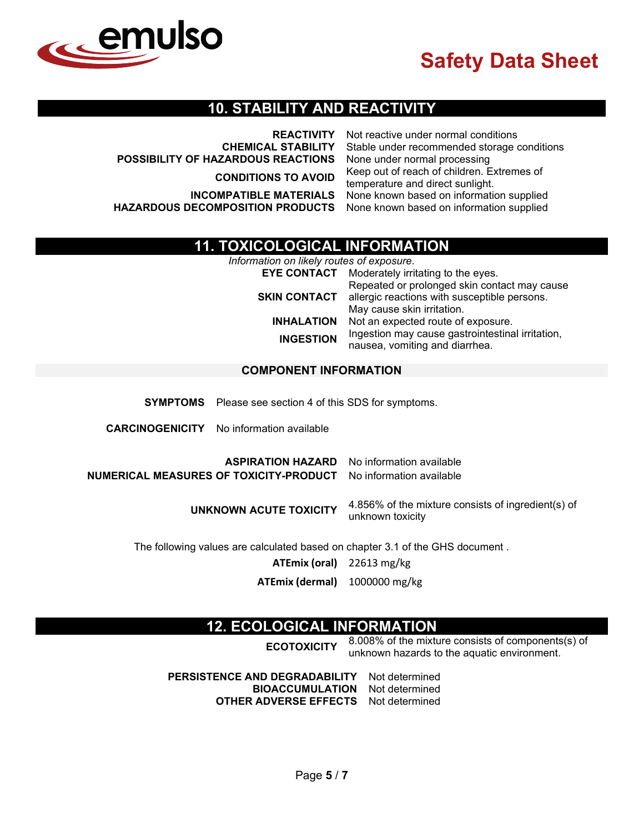

## **10. STABILITY AND REACTIVITY**

**REACTIVITY** Not reactive under normal conditions **CHEMICAL STABILITY** Stable under recommended storage conditions **POSSIBILITY OF HAZARDOUS REACTIONS** None under normal processing **CONDITIONS TO AVOID** Keep out of reach of children. Extremes of temperature and direct sunlight. **INCOMPATIBLE MATERIALS** None known based on information supplied<br>**ECOMPOSITION PRODUCTS** None known based on information supplied **HAZARDOUS DECOMPOSITION PRODUCTS** 

## **11. TOXICOLOGICAL INFORMATION**

*Information on likely routes of exposure.*

|                     | <b>EYE CONTACT</b> Moderately irritating to the eyes.                                        |
|---------------------|----------------------------------------------------------------------------------------------|
| <b>SKIN CONTACT</b> | Repeated or prolonged skin contact may cause<br>allergic reactions with susceptible persons. |
|                     | May cause skin irritation.                                                                   |
| <b>INHALATION</b>   | Not an expected route of exposure.                                                           |
| <b>INGESTION</b>    | Ingestion may cause gastrointestinal irritation,<br>nausea, vomiting and diarrhea.           |
|                     |                                                                                              |

### **COMPONENT INFORMATION**

**SYMPTOMS** Please see section 4 of this SDS for symptoms.

**CARCINOGENICITY** No information available

**ASPIRATION HAZARD** No information available **NUMERICAL MEASURES OF TOXICITY-PRODUCT** No information available

> **UNKNOWN ACUTE TOXICITY** 4.856% of the mixture consists of ingredient(s) of unknown toxicity

The following values are calculated based on chapter 3.1 of the GHS document .

**ATEmix (oral)** 22613 mg/kg

**ATEmix (dermal)** 1000000 mg/kg

## **12. ECOLOGICAL INFORMATION**

**ECOTOXICITY** 8.008% of the mixture consists of components(s) of unknown hazards to the aquatic environment.

**PERSISTENCE AND DEGRADABILITY** Not determined **BIOACCUMULATION OTHER ADVERSE EFFECTS** Not determined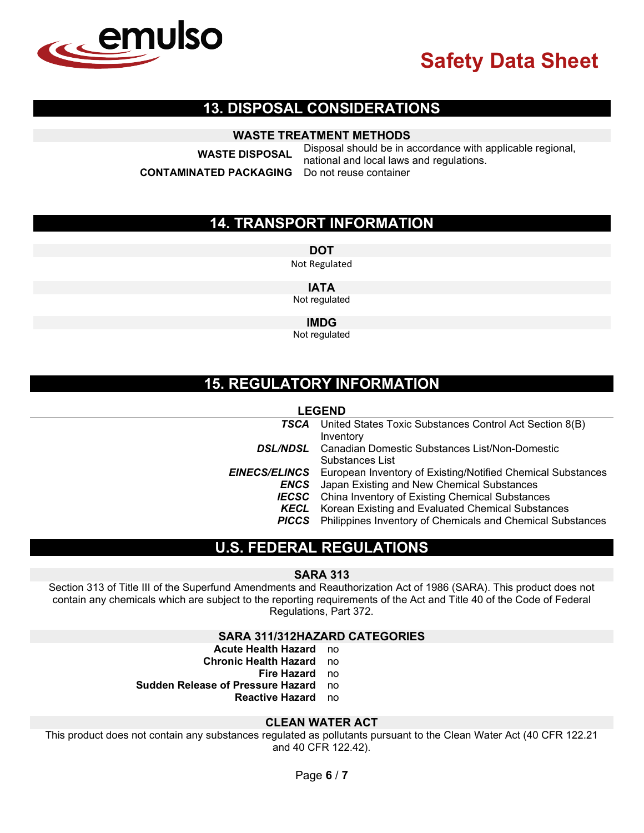

## **13. DISPOSAL CONSIDERATIONS**

## **WASTE TREATMENT METHODS**

**CONTAMINATED PACKAGING** 

**WASTE DISPOSAL** Disposal should be in accordance with applicable regional, national and local laws and regulations.

## **14. TRANSPORT INFORMATION**

**DOT**

Not Regulated

**IATA**

Not regulated

**IMDG**

Not regulated

## **15. REGULATORY INFORMATION**

#### **LEGEND**

| <b>TSCA</b> United States Toxic Substances Control Act Section 8(B)              |
|----------------------------------------------------------------------------------|
| Inventory                                                                        |
| <b>DSL/NDSL</b> Canadian Domestic Substances List/Non-Domestic                   |
| Substances List                                                                  |
| <b>EINECS/ELINCS</b> European Inventory of Existing/Notified Chemical Substances |
| <b>ENCS</b> Japan Existing and New Chemical Substances                           |
| <b>IECSC</b> China Inventory of Existing Chemical Substances                     |
| <b>KECL</b> Korean Existing and Evaluated Chemical Substances                    |
| <b>PICCS</b> Philippines Inventory of Chemicals and Chemical Substances          |

## **U.S. FEDERAL REGULATIONS**

#### **SARA 313**

Section 313 of Title III of the Superfund Amendments and Reauthorization Act of 1986 (SARA). This product does not contain any chemicals which are subject to the reporting requirements of the Act and Title 40 of the Code of Federal Regulations, Part 372.

#### **SARA 311/312HAZARD CATEGORIES**

- **Acute Health Hazard** no
- **Chronic Health Hazard** no
	- **Fire Hazard** no
- **Sudden Release of Pressure Hazard** no

**Reactive Hazard** no

#### **CLEAN WATER ACT**

This product does not contain any substances regulated as pollutants pursuant to the Clean Water Act (40 CFR 122.21 and 40 CFR 122.42).